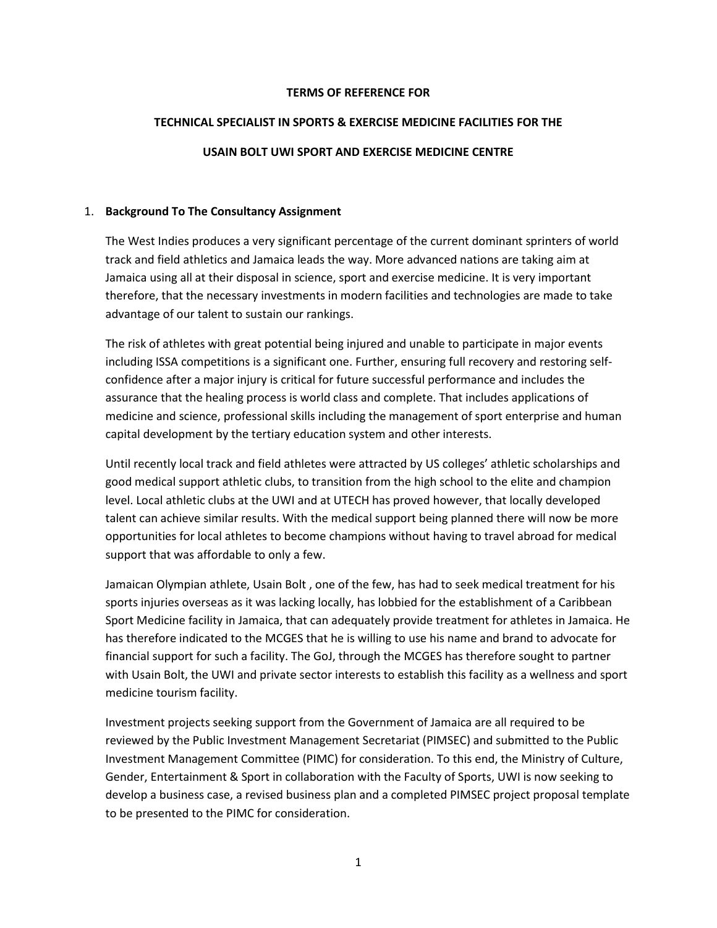#### **TERMS OF REFERENCE FOR**

#### **TECHNICAL SPECIALIST IN SPORTS & EXERCISE MEDICINE FACILITIES FOR THE**

#### **USAIN BOLT UWI SPORT AND EXERCISE MEDICINE CENTRE**

#### 1. **Background To The Consultancy Assignment**

The West Indies produces a very significant percentage of the current dominant sprinters of world track and field athletics and Jamaica leads the way. More advanced nations are taking aim at Jamaica using all at their disposal in science, sport and exercise medicine. It is very important therefore, that the necessary investments in modern facilities and technologies are made to take advantage of our talent to sustain our rankings.

The risk of athletes with great potential being injured and unable to participate in major events including ISSA competitions is a significant one. Further, ensuring full recovery and restoring selfconfidence after a major injury is critical for future successful performance and includes the assurance that the healing process is world class and complete. That includes applications of medicine and science, professional skills including the management of sport enterprise and human capital development by the tertiary education system and other interests.

Until recently local track and field athletes were attracted by US colleges' athletic scholarships and good medical support athletic clubs, to transition from the high school to the elite and champion level. Local athletic clubs at the UWI and at UTECH has proved however, that locally developed talent can achieve similar results. With the medical support being planned there will now be more opportunities for local athletes to become champions without having to travel abroad for medical support that was affordable to only a few.

Jamaican Olympian athlete, Usain Bolt , one of the few, has had to seek medical treatment for his sports injuries overseas as it was lacking locally, has lobbied for the establishment of a Caribbean Sport Medicine facility in Jamaica, that can adequately provide treatment for athletes in Jamaica. He has therefore indicated to the MCGES that he is willing to use his name and brand to advocate for financial support for such a facility. The GoJ, through the MCGES has therefore sought to partner with Usain Bolt, the UWI and private sector interests to establish this facility as a wellness and sport medicine tourism facility.

Investment projects seeking support from the Government of Jamaica are all required to be reviewed by the Public Investment Management Secretariat (PIMSEC) and submitted to the Public Investment Management Committee (PIMC) for consideration. To this end, the Ministry of Culture, Gender, Entertainment & Sport in collaboration with the Faculty of Sports, UWI is now seeking to develop a business case, a revised business plan and a completed PIMSEC project proposal template to be presented to the PIMC for consideration.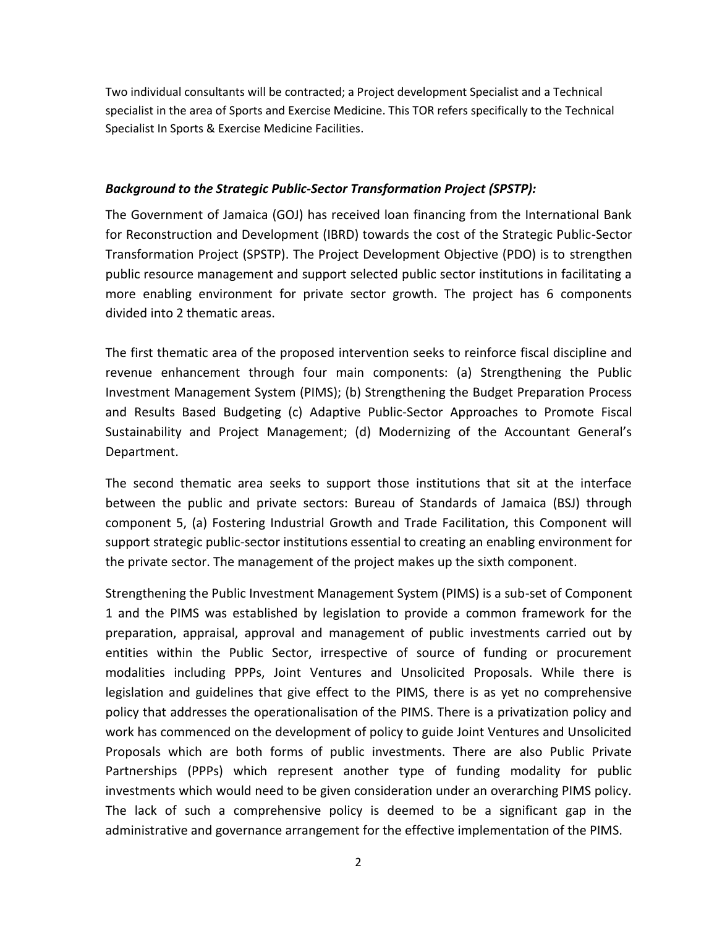Two individual consultants will be contracted; a Project development Specialist and a Technical specialist in the area of Sports and Exercise Medicine. This TOR refers specifically to the Technical Specialist In Sports & Exercise Medicine Facilities.

## *Background to the Strategic Public-Sector Transformation Project (SPSTP):*

The Government of Jamaica (GOJ) has received loan financing from the International Bank for Reconstruction and Development (IBRD) towards the cost of the Strategic Public-Sector Transformation Project (SPSTP). The Project Development Objective (PDO) is to strengthen public resource management and support selected public sector institutions in facilitating a more enabling environment for private sector growth. The project has 6 components divided into 2 thematic areas.

The first thematic area of the proposed intervention seeks to reinforce fiscal discipline and revenue enhancement through four main components: (a) Strengthening the Public Investment Management System (PIMS); (b) Strengthening the Budget Preparation Process and Results Based Budgeting (c) Adaptive Public-Sector Approaches to Promote Fiscal Sustainability and Project Management; (d) Modernizing of the Accountant General's Department.

The second thematic area seeks to support those institutions that sit at the interface between the public and private sectors: Bureau of Standards of Jamaica (BSJ) through component 5, (a) Fostering Industrial Growth and Trade Facilitation, this Component will support strategic public-sector institutions essential to creating an enabling environment for the private sector. The management of the project makes up the sixth component.

Strengthening the Public Investment Management System (PIMS) is a sub-set of Component 1 and the PIMS was established by legislation to provide a common framework for the preparation, appraisal, approval and management of public investments carried out by entities within the Public Sector, irrespective of source of funding or procurement modalities including PPPs, Joint Ventures and Unsolicited Proposals. While there is legislation and guidelines that give effect to the PIMS, there is as yet no comprehensive policy that addresses the operationalisation of the PIMS. There is a privatization policy and work has commenced on the development of policy to guide Joint Ventures and Unsolicited Proposals which are both forms of public investments. There are also Public Private Partnerships (PPPs) which represent another type of funding modality for public investments which would need to be given consideration under an overarching PIMS policy. The lack of such a comprehensive policy is deemed to be a significant gap in the administrative and governance arrangement for the effective implementation of the PIMS.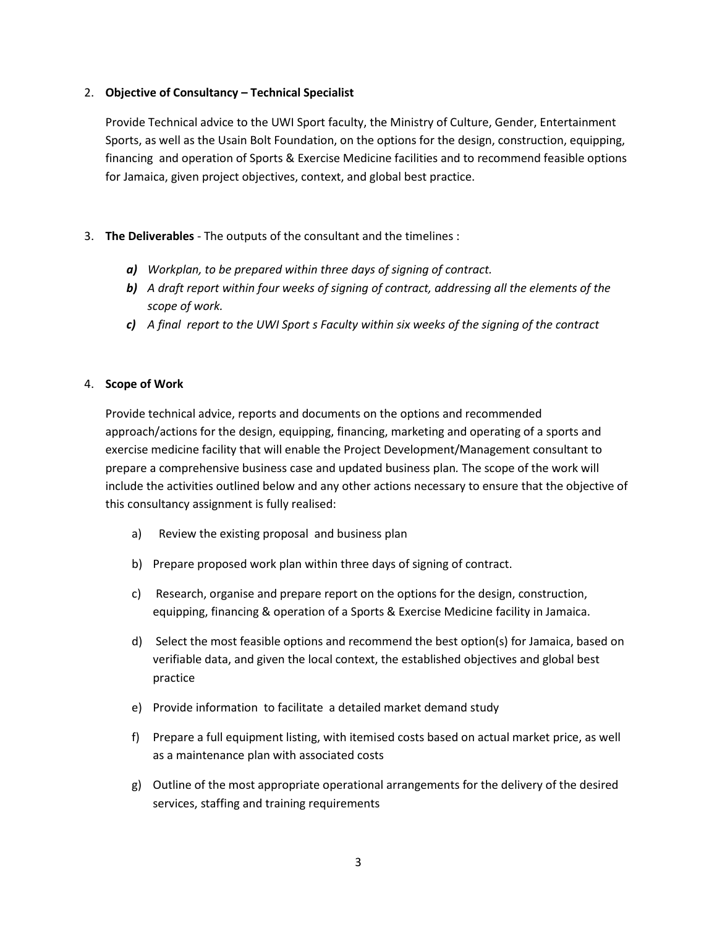#### 2. **Objective of Consultancy – Technical Specialist**

Provide Technical advice to the UWI Sport faculty, the Ministry of Culture, Gender, Entertainment Sports, as well as the Usain Bolt Foundation, on the options for the design, construction, equipping, financing and operation of Sports & Exercise Medicine facilities and to recommend feasible options for Jamaica, given project objectives, context, and global best practice.

# 3. **The Deliverables** - The outputs of the consultant and the timelines :

- *a) Workplan, to be prepared within three days of signing of contract.*
- *b) A draft report within four weeks of signing of contract, addressing all the elements of the scope of work.*
- *c) A final report to the UWI Sport s Faculty within six weeks of the signing of the contract*

### 4. **Scope of Work**

Provide technical advice, reports and documents on the options and recommended approach/actions for the design, equipping, financing, marketing and operating of a sports and exercise medicine facility that will enable the Project Development/Management consultant to prepare a comprehensive business case and updated business plan*.* The scope of the work will include the activities outlined below and any other actions necessary to ensure that the objective of this consultancy assignment is fully realised:

- a) Review the existing proposal and business plan
- b) Prepare proposed work plan within three days of signing of contract.
- c) Research, organise and prepare report on the options for the design, construction, equipping, financing & operation of a Sports & Exercise Medicine facility in Jamaica.
- d) Select the most feasible options and recommend the best option(s) for Jamaica, based on verifiable data, and given the local context, the established objectives and global best practice
- e) Provide information to facilitate a detailed market demand study
- f) Prepare a full equipment listing, with itemised costs based on actual market price, as well as a maintenance plan with associated costs
- g) Outline of the most appropriate operational arrangements for the delivery of the desired services, staffing and training requirements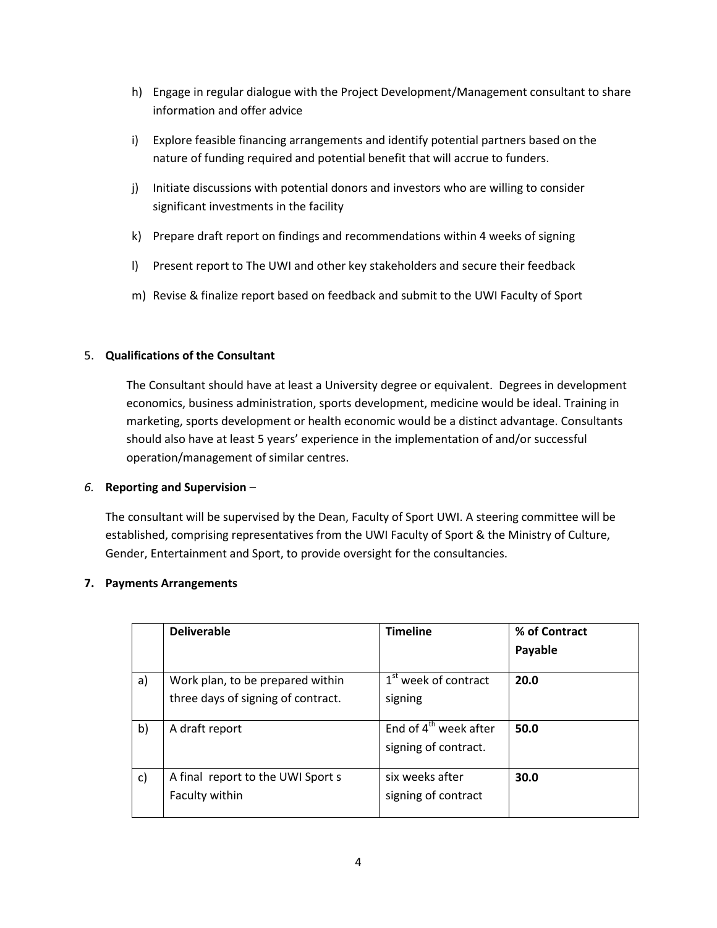- h) Engage in regular dialogue with the Project Development/Management consultant to share information and offer advice
- i) Explore feasible financing arrangements and identify potential partners based on the nature of funding required and potential benefit that will accrue to funders.
- j) Initiate discussions with potential donors and investors who are willing to consider significant investments in the facility
- k) Prepare draft report on findings and recommendations within 4 weeks of signing
- l) Present report to The UWI and other key stakeholders and secure their feedback
- m) Revise & finalize report based on feedback and submit to the UWI Faculty of Sport

# 5. **Qualifications of the Consultant**

The Consultant should have at least a University degree or equivalent. Degrees in development economics, business administration, sports development, medicine would be ideal. Training in marketing, sports development or health economic would be a distinct advantage. Consultants should also have at least 5 years' experience in the implementation of and/or successful operation/management of similar centres.

# *6.* **Reporting and Supervision** *–*

The consultant will be supervised by the Dean, Faculty of Sport UWI. A steering committee will be established, comprising representatives from the UWI Faculty of Sport & the Ministry of Culture, Gender, Entertainment and Sport, to provide oversight for the consultancies.

# **7. Payments Arrangements**

|              | <b>Deliverable</b>                                                     | <b>Timeline</b>                                           | % of Contract<br>Payable |
|--------------|------------------------------------------------------------------------|-----------------------------------------------------------|--------------------------|
| a)           | Work plan, to be prepared within<br>three days of signing of contract. | 1 <sup>st</sup> week of contract<br>signing               | 20.0                     |
| b)           | A draft report                                                         | End of 4 <sup>th</sup> week after<br>signing of contract. | 50.0                     |
| $\mathsf{C}$ | A final report to the UWI Sport s<br>Faculty within                    | six weeks after<br>signing of contract                    | 30.0                     |